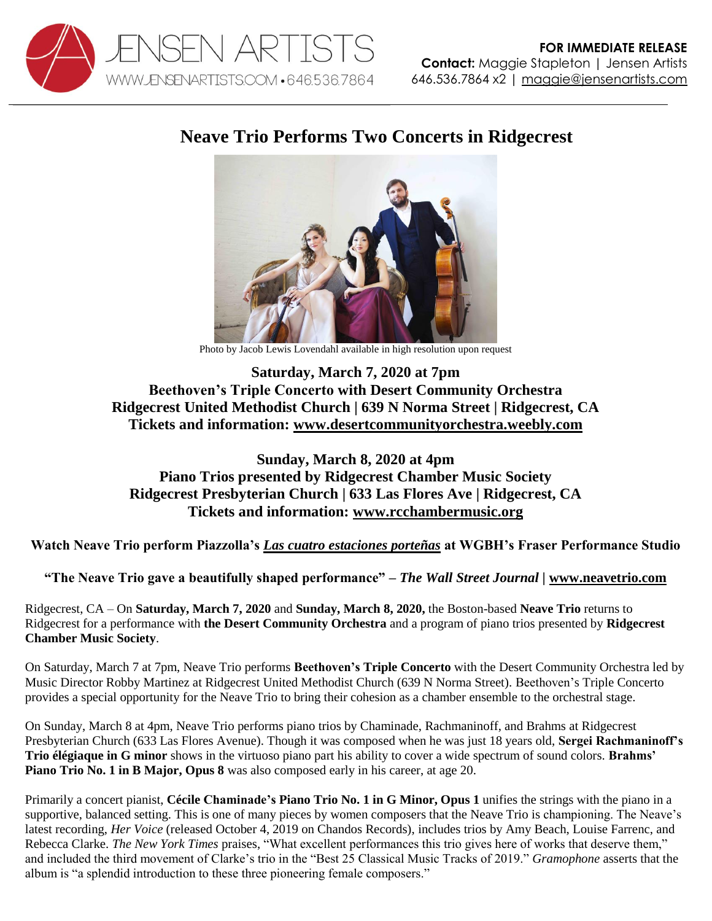

## **Neave Trio Performs Two Concerts in Ridgecrest**



Photo by Jacob Lewis Lovendahl available in high resolution upon request

## **Saturday, March 7, 2020 at 7pm Beethoven's Triple Concerto with Desert Community Orchestra Ridgecrest United Methodist Church | 639 N Norma Street | Ridgecrest, CA Tickets and information: [www.desertcommunityorchestra.weebly.com](http://www.desertcommunityorchestra.weebly.com/)**

## **Sunday, March 8, 2020 at 4pm Piano Trios presented by Ridgecrest Chamber Music Society Ridgecrest Presbyterian Church | 633 Las Flores Ave | Ridgecrest, CA Tickets and information: [www.rcchambermusic.org](http://www.rcchambermusic.org/)**

**Watch Neave Trio perform Piazzolla's** *[Las cuatro estaciones porteñas](https://youtu.be/Xs3a6h4OV-E)* **at WGBH's Fraser Performance Studio**

**"The Neave Trio gave a beautifully shaped performance"** *– The Wall Street Journal |* **[www.neavetrio.com](http://www.neavetrio.com/)**

Ridgecrest, CA – On **Saturday, March 7, 2020** and **Sunday, March 8, 2020,** the Boston-based **Neave Trio** returns to Ridgecrest for a performance with **the Desert Community Orchestra** and a program of piano trios presented by **Ridgecrest Chamber Music Society**.

On Saturday, March 7 at 7pm, Neave Trio performs **Beethoven's Triple Concerto** with the Desert Community Orchestra led by Music Director Robby Martinez at Ridgecrest United Methodist Church (639 N Norma Street). Beethoven's Triple Concerto provides a special opportunity for the Neave Trio to bring their cohesion as a chamber ensemble to the orchestral stage.

On Sunday, March 8 at 4pm, Neave Trio performs piano trios by Chaminade, Rachmaninoff, and Brahms at Ridgecrest Presbyterian Church (633 Las Flores Avenue). Though it was composed when he was just 18 years old, **Sergei Rachmaninoff's Trio élégiaque in G minor** shows in the virtuoso piano part his ability to cover a wide spectrum of sound colors. **Brahms' Piano Trio No. 1 in B Major, Opus 8** was also composed early in his career, at age 20.

Primarily a concert pianist, **Cécile Chaminade's Piano Trio No. 1 in G Minor, Opus 1** unifies the strings with the piano in a supportive, balanced setting. This is one of many pieces by women composers that the Neave Trio is championing. The Neave's latest recording, *Her Voice* (released October 4, 2019 on Chandos Records), includes trios by Amy Beach, Louise Farrenc, and Rebecca Clarke. *The New York Times* praises, "What excellent performances this trio gives here of works that deserve them," and included the third movement of Clarke's trio in the "Best 25 Classical Music Tracks of 2019." *Gramophone* asserts that the album is "a splendid introduction to these three pioneering female composers."